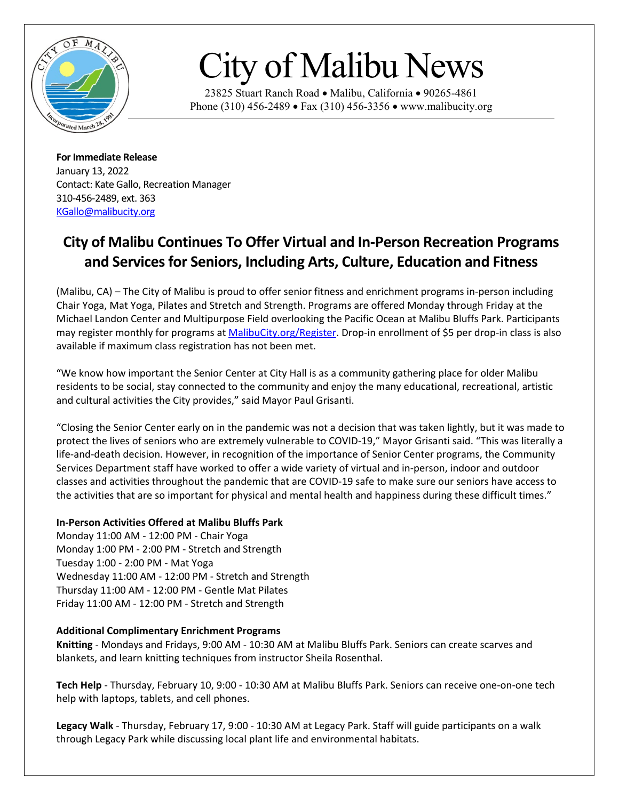

## City of Malibu News

23825 Stuart Ranch Road • Malibu, California • 90265-4861 Phone (310) 456-2489 • Fax (310) 456-3356 • www.malibucity.org

**For Immediate Release** January 13, 2022 Contact: Kate Gallo, Recreation Manager 310-456-2489, ext. 363 [KGallo@malibucity.org](mailto:KGallo@malibucity.org)

## **City of Malibu Continues To Offer Virtual and In-Person Recreation Programs and Services for Seniors, Including Arts, Culture, Education and Fitness**

(Malibu, CA) – The City of Malibu is proud to offer senior fitness and enrichment programs in-person including Chair Yoga, Mat Yoga, Pilates and Stretch and Strength. Programs are offered Monday through Friday at the Michael Landon Center and Multipurpose Field overlooking the Pacific Ocean at Malibu Bluffs Park. Participants may register monthly for programs at [MalibuCity.org/Register.](http://www.malibucity.org/register) Drop-in enrollment of \$5 per drop-in class is also available if maximum class registration has not been met.

"We know how important the Senior Center at City Hall is as a community gathering place for older Malibu residents to be social, stay connected to the community and enjoy the many educational, recreational, artistic and cultural activities the City provides," said Mayor Paul Grisanti.

"Closing the Senior Center early on in the pandemic was not a decision that was taken lightly, but it was made to protect the lives of seniors who are extremely vulnerable to COVID-19," Mayor Grisanti said. "This was literally a life-and-death decision. However, in recognition of the importance of Senior Center programs, the Community Services Department staff have worked to offer a wide variety of virtual and in-person, indoor and outdoor classes and activities throughout the pandemic that are COVID-19 safe to make sure our seniors have access to the activities that are so important for physical and mental health and happiness during these difficult times."

## **In-Person Activities Offered at Malibu Bluffs Park**

Monday 11:00 AM - 12:00 PM - Chair Yoga Monday 1:00 PM - 2:00 PM - Stretch and Strength Tuesday 1:00 - 2:00 PM - Mat Yoga Wednesday 11:00 AM - 12:00 PM - Stretch and Strength Thursday 11:00 AM - 12:00 PM - Gentle Mat Pilates Friday 11:00 AM - 12:00 PM - Stretch and Strength

## **Additional Complimentary Enrichment Programs**

**Knitting** - Mondays and Fridays, 9:00 AM - 10:30 AM at Malibu Bluffs Park. Seniors can create scarves and blankets, and learn knitting techniques from instructor Sheila Rosenthal.

**Tech Help** - Thursday, February 10, 9:00 - 10:30 AM at Malibu Bluffs Park. Seniors can receive one-on-one tech help with laptops, tablets, and cell phones.

**Legacy Walk** - Thursday, February 17, 9:00 - 10:30 AM at Legacy Park. Staff will guide participants on a walk through Legacy Park while discussing local plant life and environmental habitats.